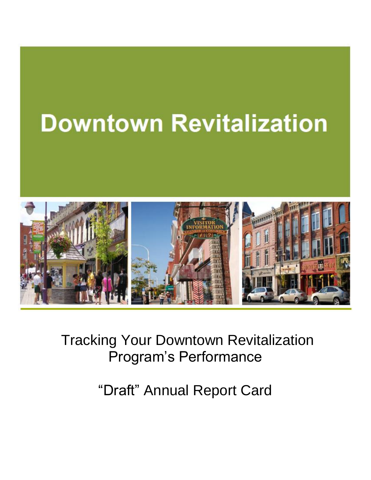# **Downtown Revitalization**



Tracking Your Downtown Revitalization Program's Performance

"Draft" Annual Report Card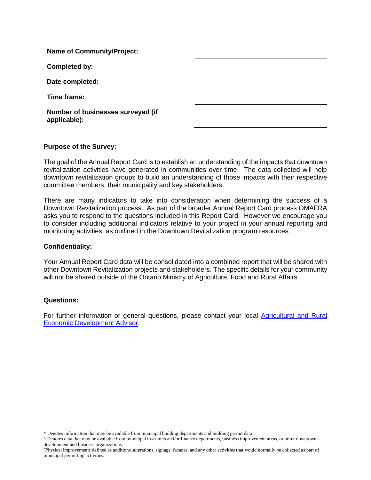| <b>Name of Community/Project:</b>                 |  |
|---------------------------------------------------|--|
| <b>Completed by:</b>                              |  |
| Date completed:                                   |  |
| Time frame:                                       |  |
| Number of businesses surveyed (if<br>applicable): |  |

#### **Purpose of the Survey:**

The goal of the Annual Report Card is to establish an understanding of the impacts that downtown revitalization activities have generated in communities over time. The data collected will help downtown revitalization groups to build an understanding of those impacts with their respective committee members, their municipality and key stakeholders.

There are many indicators to take into consideration when determining the success of a Downtown Revitalization process. As part of the broader Annual Report Card process OMAFRA asks you to respond to the questions included in this Report Card. However we encourage you to consider including additional indicators relative to your project in your annual reporting and monitoring activities, as outlined in the Downtown Revitalization program resources.

#### **Confidentiality:**

Your Annual Report Card data will be consolidated into a combined report that will be shared with other Downtown Revitalization projects and stakeholders. The specific details for your community will not be shared outside of the Ontario Ministry of Agriculture, Food and Rural Affairs.

#### **Questions:**

For further information or general questions, please contact your local Agricultural and Rural [Economic Development Advisor.](https://onregionalecdev.com/advisor-map/)

<sup>\*</sup> Denotes information that may be available from municipal building departments and building permit data

<sup>^</sup> Denotes data that may be available from municipal treasurers and/or finance departments, business improvement areas, or other downtown development and business organizations.

<sup>+</sup>Physical improvements defined as additions, alterations, signage, facades, and any other activities that would normally be collected as part of municipal permitting activities.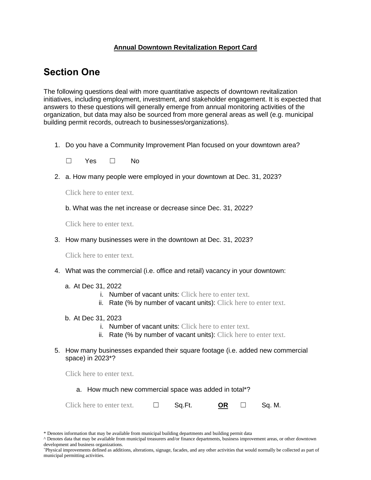### **Annual Downtown Revitalization Report Card**

## **Section One**

The following questions deal with more quantitative aspects of downtown revitalization initiatives, including employment, investment, and stakeholder engagement. It is expected that answers to these questions will generally emerge from annual monitoring activities of the organization, but data may also be sourced from more general areas as well (e.g. municipal building permit records, outreach to businesses/organizations).

1. Do you have a Community Improvement Plan focused on your downtown area?

☐ Yes ☐ No

2. a. How many people were employed in your downtown at Dec. 31, 2023?

Click here to enter text.

b. What was the net increase or decrease since Dec. 31, 2022?

Click here to enter text.

3. How many businesses were in the downtown at Dec. 31, 2023?

Click here to enter text.

- 4. What was the commercial (i.e. office and retail) vacancy in your downtown:
	- a. At Dec 31, 2022
		- i. Number of vacant units: Click here to enter text.
		- ii. Rate (% by number of vacant units): Click here to enter text.
	- b. At Dec 31, 2023
		- i. Number of vacant units: Click here to enter text.
		- ii. Rate (% by number of vacant units): Click here to enter text.
- 5. How many businesses expanded their square footage (i.e. added new commercial space) in 2023\*?

Click here to enter text.

| a. How much new commercial space was added in total*? |  |
|-------------------------------------------------------|--|
|-------------------------------------------------------|--|

| Click here to enter text. |  | Sq.Ft. | <b>OR</b> |  | Sq. M. |
|---------------------------|--|--------|-----------|--|--------|
|---------------------------|--|--------|-----------|--|--------|

<sup>\*</sup> Denotes information that may be available from municipal building departments and building permit data

<sup>^</sup> Denotes data that may be available from municipal treasurers and/or finance departments, business improvement areas, or other downtown development and business organizations.

<sup>+</sup>Physical improvements defined as additions, alterations, signage, facades, and any other activities that would normally be collected as part of municipal permitting activities.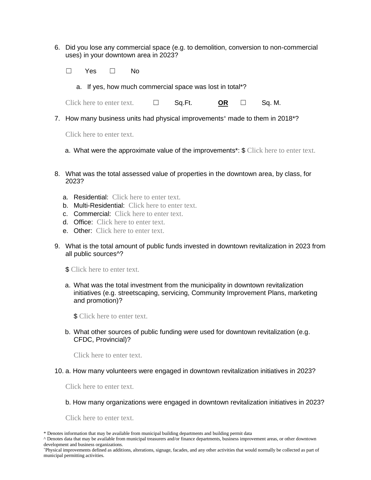- 6. Did you lose any commercial space (e.g. to demolition, conversion to non-commercial uses) in your downtown area in 2023?
	- ☐ Yes ☐ No
		- a. If yes, how much commercial space was lost in total\*?

Click here to enter text.  $\Box$  Sq.Ft. **OR**  $\Box$  Sq. M.

7. How many business units had physical improvements<sup>+</sup> made to them in 2018<sup>\*</sup>?

Click here to enter text.

- a. What were the approximate value of the improvements\*: \$ Click here to enter text.
- 8. What was the total assessed value of properties in the downtown area, by class, for 2023?
	- a. Residential: Click here to enter text.
	- b. Multi-Residential: Click here to enter text.
	- c. Commercial: Click here to enter text.
	- d. Office: Click here to enter text.
	- e. Other: Click here to enter text.
- 9. What is the total amount of public funds invested in downtown revitalization in 2023 from all public sources^?
	- **\$** Click here to enter text.
	- a. What was the total investment from the municipality in downtown revitalization initiatives (e.g. streetscaping, servicing, Community Improvement Plans, marketing and promotion)?

\$ Click here to enter text.

b. What other sources of public funding were used for downtown revitalization (e.g. CFDC, Provincial)?

Click here to enter text.

10. a. How many volunteers were engaged in downtown revitalization initiatives in 2023?

Click here to enter text.

b. How many organizations were engaged in downtown revitalization initiatives in 2023?

Click here to enter text.

<sup>\*</sup> Denotes information that may be available from municipal building departments and building permit data

<sup>^</sup> Denotes data that may be available from municipal treasurers and/or finance departments, business improvement areas, or other downtown development and business organizations.

<sup>+</sup>Physical improvements defined as additions, alterations, signage, facades, and any other activities that would normally be collected as part of municipal permitting activities.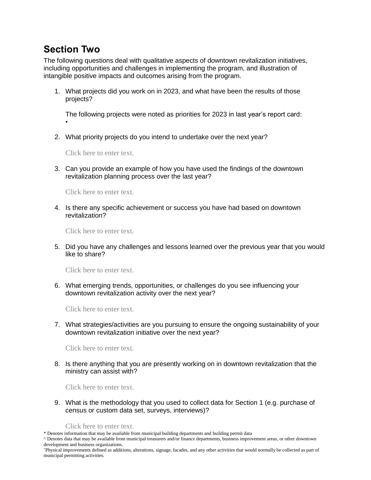## **Section Two**

•

The following questions deal with qualitative aspects of downtown revitalization initiatives, including opportunities and challenges in implementing the program, and illustration of intangible positive impacts and outcomes arising from the program.

1. What projects did you work on in 2023, and what have been the results of those projects?

The following projects were noted as priorities for 2023 in last year's report card:

2. What priority projects do you intend to undertake over the next year?

Click here to enter text.

3. Can you provide an example of how you have used the findings of the downtown revitalization planning process over the last year?

Click here to enter text.

4. Is there any specific achievement or success you have had based on downtown revitalization?

Click here to enter text.

5. Did you have any challenges and lessons learned over the previous year that you would like to share?

Click here to enter text.

6. What emerging trends, opportunities, or challenges do you see influencing your downtown revitalization activity over the next year?

Click here to enter text.

7. What strategies/activities are you pursuing to ensure the ongoing sustainability of your downtown revitalization initiative over the next year?

Click here to enter text.

8. Is there anything that you are presently working on in downtown revitalization that the ministry can assist with?

Click here to enter text.

9. What is the methodology that you used to collect data for Section 1 (e.g. purchase of census or custom data set, surveys, interviews)?

Click here to enter text.

\* Denotes information that may be available from municipal building departments and building permit data

<sup>^</sup> Denotes data that may be available from municipal treasurers and/or finance departments, business improvement areas, or other downtown development and business organizations.

<sup>+</sup>Physical improvements defined as additions, alterations, signage, facades, and any other activities that would normally be collected as part of municipal permitting activities.